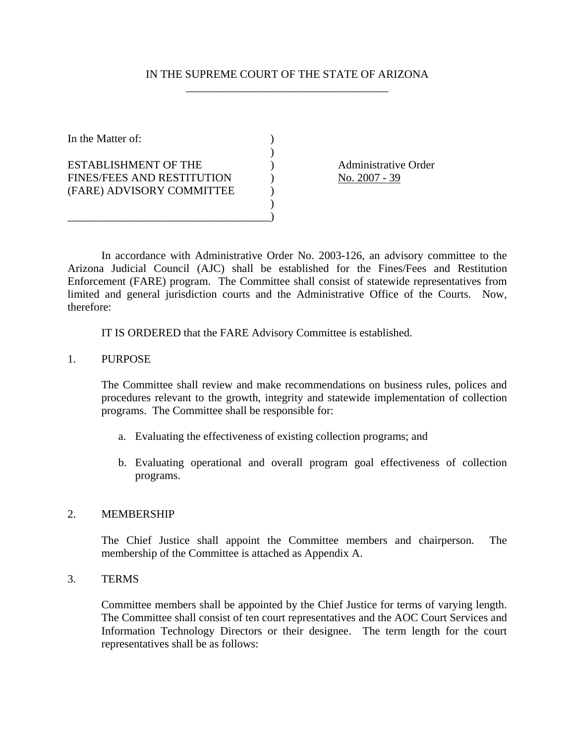## IN THE SUPREME COURT OF THE STATE OF ARIZONA \_\_\_\_\_\_\_\_\_\_\_\_\_\_\_\_\_\_\_\_\_\_\_\_\_\_\_\_\_\_\_\_\_\_\_\_

In the Matter of:  $\qquad \qquad$  )  $)$ ESTABLISHMENT OF THE (a) Administrative Order FINES/FEES AND RESTITUTION  $\qquad \qquad$  No. 2007 - 39 (FARE) ADVISORY COMMITTEE )  $)$ \_\_\_\_\_\_\_\_\_\_\_\_\_\_\_\_\_\_\_\_\_\_\_\_\_\_\_\_\_\_\_\_\_\_\_\_)

In accordance with Administrative Order No. 2003-126, an advisory committee to the Arizona Judicial Council (AJC) shall be established for the Fines/Fees and Restitution Enforcement (FARE) program. The Committee shall consist of statewide representatives from limited and general jurisdiction courts and the Administrative Office of the Courts. Now, therefore:

IT IS ORDERED that the FARE Advisory Committee is established.

## 1. PURPOSE

The Committee shall review and make recommendations on business rules, polices and procedures relevant to the growth, integrity and statewide implementation of collection programs. The Committee shall be responsible for:

- a. Evaluating the effectiveness of existing collection programs; and
- b. Evaluating operational and overall program goal effectiveness of collection programs.

## 2. MEMBERSHIP

 The Chief Justice shall appoint the Committee members and chairperson. The membership of the Committee is attached as Appendix A.

3. TERMS

Committee members shall be appointed by the Chief Justice for terms of varying length. The Committee shall consist of ten court representatives and the AOC Court Services and Information Technology Directors or their designee. The term length for the court representatives shall be as follows: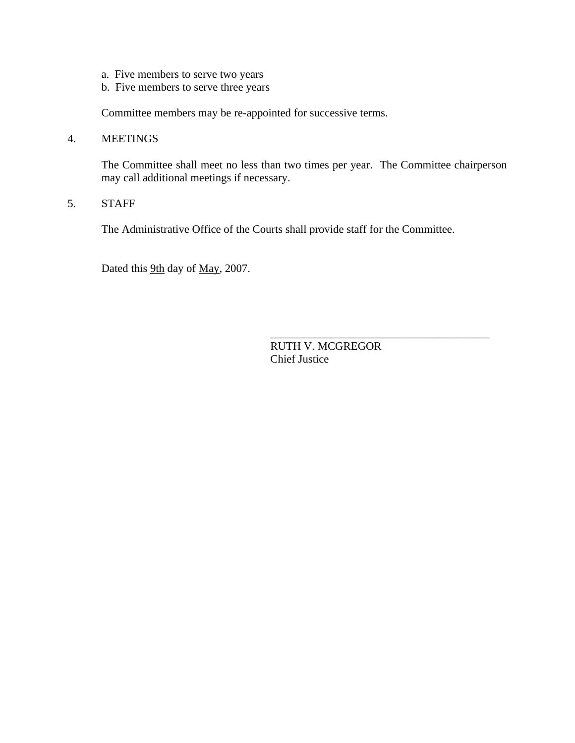- a. Five members to serve two years
- b. Five members to serve three years

Committee members may be re-appointed for successive terms.

4. MEETINGS

The Committee shall meet no less than two times per year. The Committee chairperson may call additional meetings if necessary.

5. STAFF

The Administrative Office of the Courts shall provide staff for the Committee.

Dated this 9th day of May, 2007.

RUTH V. MCGREGOR Chief Justice

\_\_\_\_\_\_\_\_\_\_\_\_\_\_\_\_\_\_\_\_\_\_\_\_\_\_\_\_\_\_\_\_\_\_\_\_\_\_\_